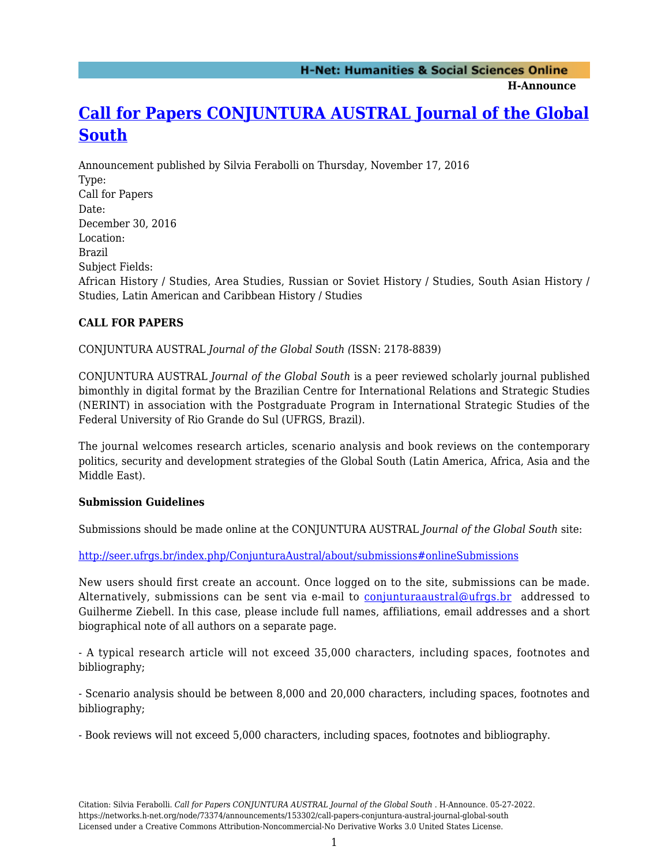**H-Announce** 

# **[Call for Papers CONJUNTURA AUSTRAL Journal of the Global](https://networks.h-net.org/node/73374/announcements/153302/call-papers-conjuntura-austral-journal-global-south) [South](https://networks.h-net.org/node/73374/announcements/153302/call-papers-conjuntura-austral-journal-global-south)**

Announcement published by Silvia Ferabolli on Thursday, November 17, 2016 Type: Call for Papers Date: December 30, 2016 Location: Brazil Subject Fields: African History / Studies, Area Studies, Russian or Soviet History / Studies, South Asian History / Studies, Latin American and Caribbean History / Studies

## **CALL FOR PAPERS**

CONJUNTURA AUSTRAL *Journal of the Global South (*ISSN: 2178-8839)

CONJUNTURA AUSTRAL *Journal of the Global South* is a peer reviewed scholarly journal published bimonthly in digital format by the Brazilian Centre for International Relations and Strategic Studies (NERINT) in association with the Postgraduate Program in International Strategic Studies of the Federal University of Rio Grande do Sul (UFRGS, Brazil).

The journal welcomes research articles, scenario analysis and book reviews on the contemporary politics, security and development strategies of the Global South (Latin America, Africa, Asia and the Middle East).

### **Submission Guidelines**

Submissions should be made online at the CONJUNTURA AUSTRAL *Journal of the Global South* site:

<http://seer.ufrgs.br/index.php/ConjunturaAustral/about/submissions#onlineSubmissions>

New users should first create an account. Once logged on to the site, submissions can be made. Alternatively, submissions can be sent via e-mail to [conjunturaaustral@ufrgs.br](mailto:conjunturaaustral@ufrgs.br) addressed to Guilherme Ziebell. In this case, please include full names, affiliations, email addresses and a short biographical note of all authors on a separate page.

- A typical research article will not exceed 35,000 characters, including spaces, footnotes and bibliography;

- Scenario analysis should be between 8,000 and 20,000 characters, including spaces, footnotes and bibliography;

- Book reviews will not exceed 5,000 characters, including spaces, footnotes and bibliography.